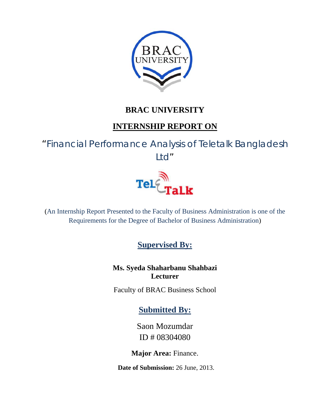

### **BRAC UNIVERSITY**

### **INTERNSHIP REPORT ON**

"Financial Performance Analysis of Teletalk Bangladesh Ltd"



(An Internship Report Presented to the Faculty of Business Administration is one of the Requirements for the Degree of Bachelor of Business Administration)

**Supervised By:**

**Ms. Syeda Shaharbanu Shahbazi Lecturer** 

Faculty of BRAC Business School

**Submitted By:**

Saon Mozumdar ID # 08304080

**Major Area:** Finance.

**Date of Submission:** 26 June, 2013.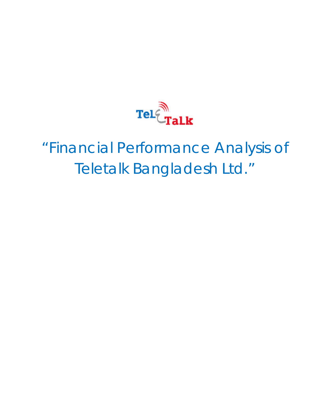

# "Financial Performance Analysis of Teletalk Bangladesh Ltd."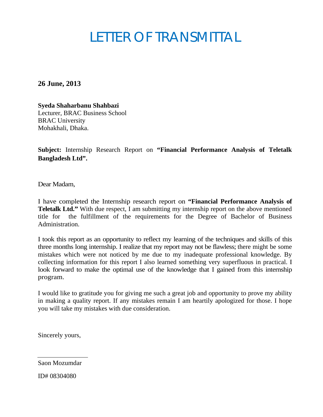## LETTER OF TRANSMITTAL

**26 June, 2013**

**Syeda Shaharbanu Shahbazi**  Lecturer, BRAC Business School BRAC University Mohakhali, Dhaka.

**Subject:** Internship Research Report on **"Financial Performance Analysis of Teletalk Bangladesh Ltd".** 

Dear Madam,

I have completed the Internship research report on **"Financial Performance Analysis of Teletalk Ltd."** With due respect, I am submitting my internship report on the above mentioned title for the fulfillment of the requirements for the Degree of Bachelor of Business Administration.

I took this report as an opportunity to reflect my learning of the techniques and skills of this three months long internship. I realize that my report may not be flawless; there might be some mistakes which were not noticed by me due to my inadequate professional knowledge. By collecting information for this report I also learned something very superfluous in practical. I look forward to make the optimal use of the knowledge that I gained from this internship program.

I would like to gratitude you for giving me such a great job and opportunity to prove my ability in making a quality report. If any mistakes remain I am heartily apologized for those. I hope you will take my mistakes with due consideration.

Sincerely yours,

Saon Mozumdar

ID# 08304080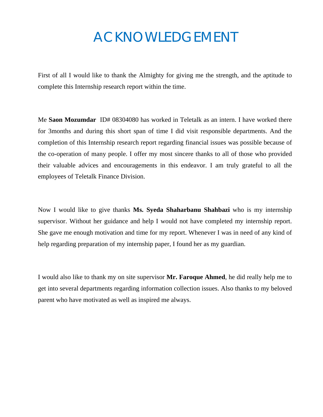## ACKNOWLEDGEMENT

First of all I would like to thank the Almighty for giving me the strength, and the aptitude to complete this Internship research report within the time.

Me **Saon Mozumdar** ID# 08304080 has worked in Teletalk as an intern. I have worked there for 3months and during this short span of time I did visit responsible departments. And the completion of this Internship research report regarding financial issues was possible because of the co-operation of many people. I offer my most sincere thanks to all of those who provided their valuable advices and encouragements in this endeavor. I am truly grateful to all the employees of Teletalk Finance Division.

Now I would like to give thanks **Ms. Syeda Shaharbanu Shahbazi** who is my internship supervisor. Without her guidance and help I would not have completed my internship report. She gave me enough motivation and time for my report. Whenever I was in need of any kind of help regarding preparation of my internship paper, I found her as my guardian.

I would also like to thank my on site supervisor **Mr. Faroque Ahmed**, he did really help me to get into several departments regarding information collection issues. Also thanks to my beloved parent who have motivated as well as inspired me always.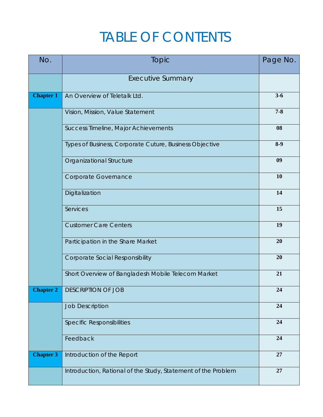## TABLE OF CONTENTS

| No.              | Topic                                                         | Page No. |
|------------------|---------------------------------------------------------------|----------|
|                  | <b>Executive Summary</b>                                      |          |
| <b>Chapter 1</b> | An Overview of Teletalk Ltd.                                  | $3 - 6$  |
|                  | Vision, Mission, Value Statement                              | $7 - 8$  |
|                  | Success Timeline, Major Achievements                          | 08       |
|                  | Types of Business, Corporate Cuture, Business Objective       | $8-9$    |
|                  | Organizational Structure                                      | 09       |
|                  | Corporate Governance                                          | 10       |
|                  | Digitalization                                                | 14       |
|                  | Services                                                      | 15       |
|                  | <b>Customer Care Centers</b>                                  | 19       |
|                  | Participation in the Share Market                             | 20       |
|                  | <b>Corporate Social Responsibility</b>                        | 20       |
|                  | Short Overview of Bangladesh Mobile Telecom Market            | 21       |
| <b>Chapter 2</b> | <b>DESCRIPTION OF JOB</b>                                     | 24       |
|                  | <b>Job Description</b>                                        | 24       |
|                  | <b>Specific Responsibilities</b>                              | 24       |
|                  | Feedback                                                      | 24       |
| <b>Chapter 3</b> | Introduction of the Report                                    | 27       |
|                  | Introduction, Rational of the Study, Statement of the Problem | 27       |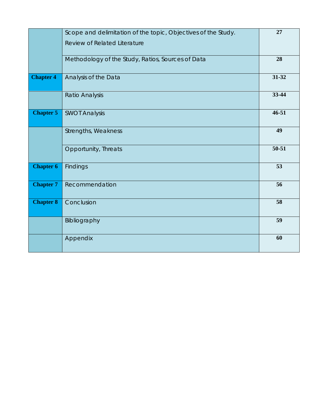|                  | Scope and delimitation of the topic, Objectives of the Study. | 27        |
|------------------|---------------------------------------------------------------|-----------|
|                  | <b>Review of Related Literature</b>                           |           |
|                  | Methodology of the Study, Ratios, Sources of Data             | 28        |
| <b>Chapter 4</b> | Analysis of the Data                                          | 31-32     |
|                  | Ratio Analysis                                                | 33-44     |
| <b>Chapter 5</b> | <b>SWOT Analysis</b>                                          | $46 - 51$ |
|                  | Strengths, Weakness                                           | 49        |
|                  | Opportunity, Threats                                          | 50-51     |
| <b>Chapter 6</b> | Findings                                                      | 53        |
| <b>Chapter 7</b> | Recommendation                                                | 56        |
| <b>Chapter 8</b> | Conclusion                                                    | 58        |
|                  | Bibliography                                                  | 59        |
|                  | Appendix                                                      | 60        |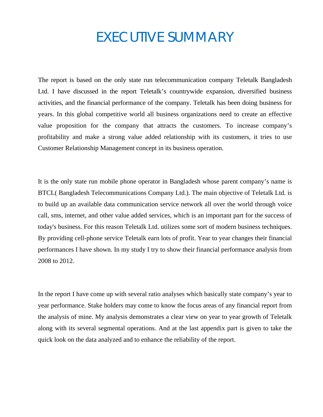## EXECUTIVE SUMMARY

The report is based on the only state run telecommunication company Teletalk Bangladesh Ltd. I have discussed in the report Teletalk's countrywide expansion, diversified business activities, and the financial performance of the company. Teletalk has been doing business for years. In this global competitive world all business organizations need to create an effective value proposition for the company that attracts the customers. To increase company's profitability and make a strong value added relationship with its customers, it tries to use Customer Relationship Management concept in its business operation.

It is the only state run mobile phone operator in Bangladesh whose parent company's name is BTCL( Bangladesh Telecommunications Company Ltd.). The main objective of Teletalk Ltd. is to build up an available data communication service network all over the world through voice call, sms, internet, and other value added services, which is an important part for the success of today's business. For this reason Teletalk Ltd. utilizes some sort of modern business techniques. By providing cell-phone service Teletalk earn lots of profit. Year to year changes their financial performances I have shown. In my study I try to show their financial performance analysis from 2008 to 2012.

In the report I have come up with several ratio analyses which basically state company's year to year performance. Stake holders may come to know the focus areas of any financial report from the analysis of mine. My analysis demonstrates a clear view on year to year growth of Teletalk along with its several segmental operations. And at the last appendix part is given to take the quick look on the data analyzed and to enhance the reliability of the report.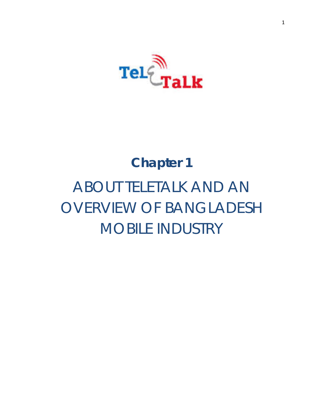

# **Chapter 1** ABOUT TELETALK AND AN OVERVIEW OF BANGLADESH MOBILE INDUSTRY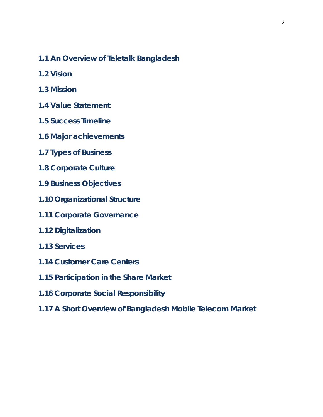- **1.1 An Overview of Teletalk Bangladesh**
- **1.2 Vision**
- **1.3 Mission**
- **1.4 Value Statement**
- **1.5 Success Timeline**
- **1.6 Major achievements**
- **1.7 Types of Business**
- **1.8 Corporate Culture**
- **1.9 Business Objectives**
- **1.10 Organizational Structure**
- **1.11 Corporate Governance**
- **1.12 Digitalization**
- **1.13 Services**
- **1.14 Customer Care Centers**
- **1.15 Participation in the Share Market**
- **1.16 Corporate Social Responsibility**
- **1.17 A Short Overview of Bangladesh Mobile Telecom Market**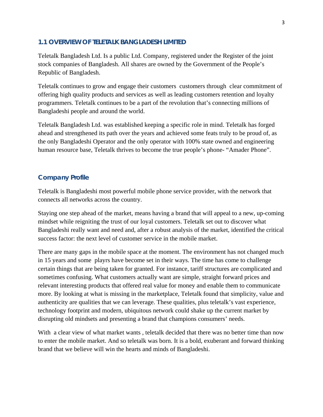#### **1.1 OVERVIEW OF TELETALK BANGLADESH LIMITED**

Teletalk Bangladesh Ltd. Is a public Ltd. Company, registered under the Register of the joint stock companies of Bangladesh. All shares are owned by the Government of the People's Republic of Bangladesh.

Teletalk continues to grow and engage their customers customers through clear commitment of offering high quality products and services as well as leading customers retention and loyalty programmers. Teletalk continues to be a part of the revolution that's connecting millions of Bangladeshi people and around the world.

Teletalk Bangladesh Ltd. was established keeping a specific role in mind. Teletalk has forged ahead and strengthened its path over the years and achieved some feats truly to be proud of, as the only Bangladeshi Operator and the only operator with 100% state owned and engineering human resource base, Teletalk thrives to become the true people's phone- "Amader Phone".

#### **Company Profile**

Teletalk is Bangladeshi most powerful mobile phone service provider, with the network that connects all networks across the country.

Staying one step ahead of the market, means having a brand that will appeal to a new, up-coming mindset while reigniting the trust of our loyal customers. Teletalk set out to discover what Bangladeshi really want and need and, after a robust analysis of the market, identified the critical success factor: the next level of customer service in the mobile market.

There are many gaps in the mobile space at the moment. The environment has not changed much in 15 years and some playrs have become set in their ways. The time has come to challenge certain things that are being taken for granted. For instance, tariff structures are complicated and sometimes confusing. What customers actually want are simple, straight forward prices and relevant interesting products that offered real value for money and enable them to communicate more. By looking at what is missing in the marketplace, Teletalk found that simplicity, value and authenticity are qualities that we can leverage. These qualities, plus teletalk's vast experience, technology footprint and modern, ubiquitous network could shake up the current market by disrupting old mindsets and presenting a brand that champions consumers' needs.

With a clear view of what market wants, teletalk decided that there was no better time than now to enter the mobile market. And so teletalk was born. It is a bold, exuberant and forward thinking brand that we believe will win the hearts and minds of Bangladeshi.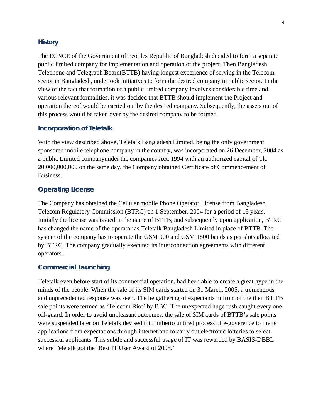#### **History**

The ECNCE of the Government of Peoples Republic of Bangladesh decided to form a separate public limited company for implementation and operation of the project. Then Bangladesh Telephone and Telegraph Board(BTTB) having longest experience of serving in the Telecom sector in Bangladesh, undertook initiatives to form the desired company in public sector. In the view of the fact that formation of a public limited company involves considerable time and various relevant formalities, it was decided that BTTB should implement the Project and operation thereof would be carried out by the desired company. Subsequently, the assets out of this process would be taken over by the desired company to be formed.

#### **Incorporation of Teletalk**

With the view described above, Teletalk Bangladesh Limited, being the only government sponsored mobile telephone company in the country, was incorporated on 26 December, 2004 as a public Limited companyunder the companies Act, 1994 with an authorized capital of Tk. 20,000,000,000 on the same day, the Company obtained Certificate of Commencement of Business.

#### **Operating License**

The Company has obtained the Cellular mobile Phone Operator License from Bangladesh Telecom Regulatory Commission (BTRC) on 1 September, 2004 for a period of 15 years. Initially the license was issued in the name of BTTB, and subsequently upon application, BTRC has changed the name of the operator as Teletalk Bangladesh Limited in place of BTTB. The system of the company has to operate the GSM 900 and GSM 1800 bands as per slots allocated by BTRC. The company gradually executed its interconnection agreements with different operators.

#### **Commercial Launching**

Teletalk even before start of its commercial operation, had been able to create a great hype in the minds of the people. When the sale of its SIM cards started on 31 March, 2005, a tremendous and unprecedented response was seen. The he gathering of expectants in front of the then BT TB sale points were termed as 'Telecom Riot' by BBC. The unexpected huge rush caught every one off-guard. In order to avoid unpleasant outcomes, the sale of SIM cards of BTTB's sale points were suspended.later on Teletalk devised into hitherto untired process of e-goverence to invite applications from expectations through internet and to carry out electronic lotteries to select successful applicants. This subtle and successful usage of IT was rewarded by BASIS-DBBL where Teletalk got the 'Best IT User Award of 2005.'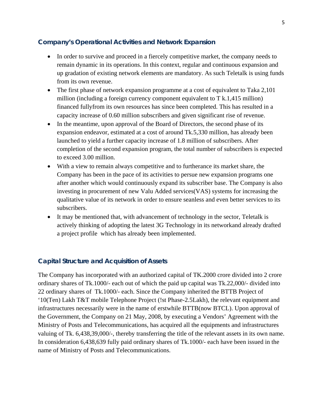#### **Company's Operational Activities and Network Expansion**

- In order to survive and proceed in a fiercely competitive market, the company needs to remain dynamic in its operations. In this context, regular and continuous expansion and up gradation of existing network elements are mandatory. As such Teletalk is using funds from its own revenue.
- The first phase of network expansion programme at a cost of equivalent to Taka 2,101 million (including a foreign currency component equivalent to T k.1,415 million) financed fullyfrom its own resources has since been completed. This has resulted in a capacity increase of 0.60 million subscribers and given significant rise of revenue.
- In the meantime, upon approval of the Board of Directors, the second phase of its expansion endeavor, estimated at a cost of around Tk.5,330 million, has already been launched to yield a further capacity increase of 1.8 million of subscribers. After completion of the second expansion program, the total number of subscribers is expected to exceed 3.00 million.
- With a view to remain always competitive and to furtherance its market share, the Company has been in the pace of its activities to persue new expansion programs one after another which would continuously expand its subscriber base. The Company is also investing in procurement of new Valu Added services(VAS) systems for increasing the qualitative value of its network in order to ensure seanless and even better services to its subscribers.
- It may be mentioned that, with advancement of technology in the sector, Teletalk is actively thinking of adopting the latest 3G Technology in its networkand already drafted a project profile which has already been implemented.

#### **Capital Structure and Acquisition of Assets**

The Company has incorporated with an authorized capital of TK.2000 crore divided into 2 crore ordinary shares of Tk.1000/- each out of which the paid up capital was Tk.22,000/- divided into 22 ordinary shares of Tk.1000/- each. Since the Company inherited the BTTB Project of '10(Ten) Lakh T&T mobile Telephone Project (!st Phase-2.5Lakh), the relevant equipment and infrastructures necessarily were in the name of erstwhile BTTB(now BTCL). Upon approval of the Government, the Company on 21 May, 2008, by executing a Vendors' Agreement with the Ministry of Posts and Telecommunications, has acquired all the equipments and infrastructures valuing of Tk. 6,438,39,000/-, thereby transferring the title of the relevant assets in its own name. In consideration 6,438,639 fully paid ordinary shares of Tk.1000/- each have been issued in the name of Ministry of Posts and Telecommunications.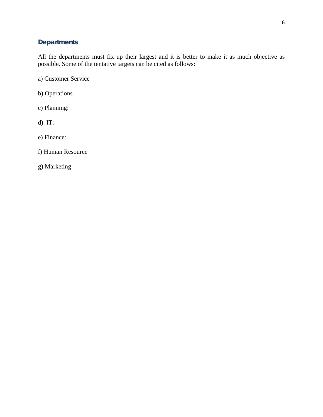#### **Departments**

All the departments must fix up their largest and it is better to make it as much objective as possible. Some of the tentative targets can be cited as follows:

a) Customer Service

b) Operations

c) Planning:

d) IT:

e) Finance:

f) Human Resource

g) Marketing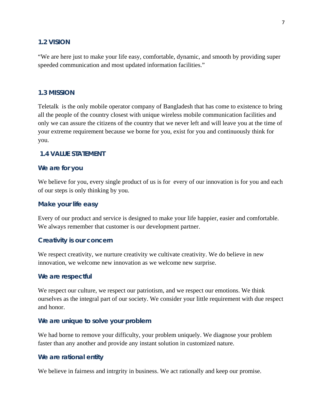#### **1.2 VISION**

"We are here just to make your life easy, comfortable, dynamic, and smooth by providing super speeded communication and most updated information facilities."

#### **1.3 MISSION**

Teletalk is the only mobile operator company of Bangladesh that has come to existence to bring all the people of the country closest with unique wireless mobile communication facilities and only we can assure the citizens of the country that we never left and will leave you at the time of your extreme requirement because we borne for you, exist for you and continuously think for you.

#### **1.4 VALUE STATEMENT**

#### **We are for you**

We believe for you, every single product of us is for every of our innovation is for you and each of our steps is only thinking by you.

#### **Make your life easy**

Every of our product and service is designed to make your life happier, easier and comfortable. We always remember that customer is our development partner.

#### **Creativity is our concern**

We respect creativity, we nurture creativity we cultivate creativity. We do believe in new innovation, we welcome new innovation as we welcome new surprise.

#### **We are respectful**

We respect our culture, we respect our patriotism, and we respect our emotions. We think ourselves as the integral part of our society. We consider your little requirement with due respect and honor.

#### **We are unique to solve your problem**

We had borne to remove your difficulty, your problem uniquely. We diagnose your problem faster than any another and provide any instant solution in customized nature.

#### **We are rational entity**

We believe in fairness and intrgrity in business. We act rationally and keep our promise.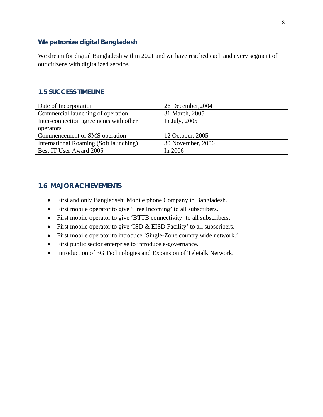#### **We patronize digital Bangladesh**

We dream for digital Bangladesh within 2021 and we have reached each and every segment of our citizens with digitalized service.

#### **1.5 SUCCESS TIMELINE**

| Date of Incorporation                  | 26 December, 2004 |
|----------------------------------------|-------------------|
| Commercial launching of operation      | 31 March, 2005    |
| Inter-connection agreements with other | In July, 2005     |
| operators                              |                   |
| Commencement of SMS operation          | 12 October, 2005  |
| International Roaming (Soft launching) | 30 November, 2006 |
| Best IT User Award 2005                | In 2006           |

#### **1.6 MAJOR ACHIEVEMENTS**

- First and only Bangladsehi Mobile phone Company in Bangladesh.
- First mobile operator to give 'Free Incoming' to all subscribers.
- First mobile operator to give 'BTTB connectivity' to all subscribers.
- First mobile operator to give 'ISD & EISD Facility' to all subscribers.
- First mobile operator to introduce 'Single-Zone country wide network.'
- First public sector enterprise to introduce e-governance.
- Introduction of 3G Technologies and Expansion of Teletalk Network.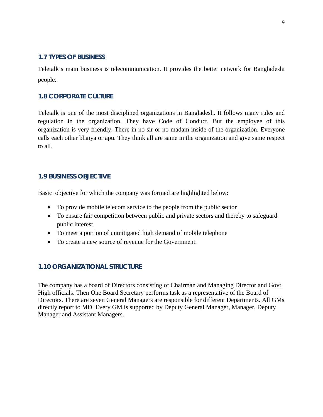#### **1.7 TYPES OF BUSINESS**

Teletalk's main business is telecommunication. It provides the better network for Bangladeshi people.

#### **1.8 CORPORATE CULTURE**

Teletalk is one of the most disciplined organizations in Bangladesh. It follows many rules and regulation in the organization. They have Code of Conduct. But the employee of this organization is very friendly. There in no sir or no madam inside of the organization. Everyone calls each other bhaiya or apu. They think all are same in the organization and give same respect to all.

#### **1.9 BUSINESS OBJECTIVE**

Basic objective for which the company was formed are highlighted below:

- To provide mobile telecom service to the people from the public sector
- To ensure fair competition between public and private sectors and thereby to safeguard public interest
- To meet a portion of unmitigated high demand of mobile telephone
- To create a new source of revenue for the Government.

#### **1.10 ORGANIZATIONAL STRUCTURE**

The company has a board of Directors consisting of Chairman and Managing Director and Govt. High officials. Then One Board Secretary performs task as a representative of the Board of Directors. There are seven General Managers are responsible for different Departments. All GMs directly report to MD. Every GM is supported by Deputy General Manager, Manager, Deputy Manager and Assistant Managers.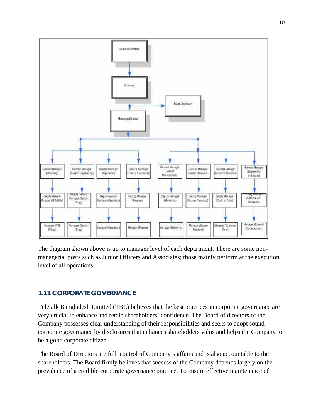

The diagram shown above is up to manager level of each department. There are some nonmanagerial posts such as Junior Officers and Associates; those mainly perform at the execution level of all operations

#### **1.11 CORPORATE GOVERNANCE**

Teletalk Bangladesh Limited (TBL) believes that the best practices in corporate governance are very crucial to enhance and retain shareholders' confidence. The Board of directors of the Company possesses clear understanding of their responsibilities and seeks to adopt sound corporate governance by disclosures that enhances shareholders valus and helps the Company to be a good corporate citizen.

The Board of Directors are full control of Company's affairs and is also accountable to the shareholders. The Board firmly believes that success of the Company depends largely on the prevalence of a credible corporate governance practice. To ensure effective maintenance of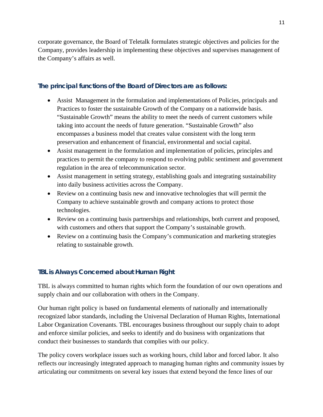corporate governance, the Board of Teletalk formulates strategic objectives and policies for the Company, provides leadership in implementing these objectives and supervises management of the Company's affairs as well.

#### **The principal functions of the Board of Directors are as follows:**

- Assist Management in the formulation and implementations of Policies, principals and Practices to foster the sustainable Growth of the Company on a nationwide basis. "Sustainable Growth" means the ability to meet the needs of current customers while taking into account the needs of future generation. "Sustainable Growth" also encompasses a business model that creates value consistent with the long term preservation and enhancement of financial, environmental and social capital.
- Assist management in the formulation and implementation of policies, principles and practices to permit the company to respond to evolving public sentiment and government regulation in the area of telecommunication sector.
- Assist management in setting strategy, establishing goals and integrating sustainability into daily business activities across the Company.
- Review on a continuing basis new and innovative technologies that will permit the Company to achieve sustainable growth and company actions to protect those technologies.
- Review on a continuing basis partnerships and relationships, both current and proposed, with customers and others that support the Company's sustainable growth.
- Review on a continuing basis the Company's communication and marketing strategies relating to sustainable growth.

#### **TBL is Always Concerned about Human Right**

TBL is always committed to human rights which form the foundation of our own operations and supply chain and our collaboration with others in the Company.

Our human right policy is based on fundamental elements of nationally and internationally recognized labor standards, including the Universal Declaration of Human Rights, International Labor Organization Covenants. TBL encourages business throughout our supply chain to adopt and enforce similar policies, and seeks to identify and do business with organizations that conduct their businesses to standards that complies with our policy.

The policy covers workplace issues such as working hours, child labor and forced labor. It also reflects our increasingly integrated approach to managing human rights and community issues by articulating our commitments on several key issues that extend beyond the fence lines of our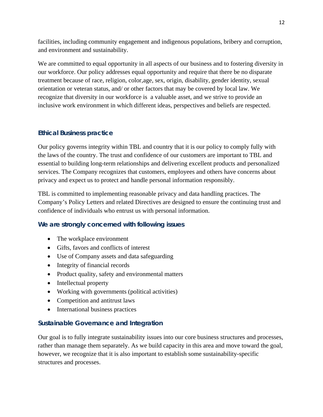facilities, including community engagement and indigenous populations, bribery and corruption, and environment and sustainability.

We are committed to equal opportunity in all aspects of our business and to fostering diversity in our workforce. Our policy addresses equal opportunity and require that there be no disparate treatment because of race, religion, color,age, sex, origin, disability, gender identity, sexual orientation or veteran status, and/ or other factors that may be covered by local law. We recognize that diversity in our workforce is a valuable asset, and we strive to provide an inclusive work environment in which different ideas, perspectives and beliefs are respected.

#### **Ethical Business practice**

Our policy governs integrity within TBL and country that it is our policy to comply fully with the laws of the country. The trust and confidence of our customers are important to TBL and essential to building long-term relationships and delivering excellent products and personalized services. The Company recognizes that customers, employees and others have concerns about privacy and expect us to protect and handle personal information responsibly.

TBL is committed to implementing reasonable privacy and data handling practices. The Company's Policy Letters and related Directives are designed to ensure the continuing trust and confidence of individuals who entrust us with personal information.

#### **We are strongly concerned with following issues**

- The workplace environment
- Gifts, favors and conflicts of interest
- Use of Company assets and data safeguarding
- Integrity of financial records
- Product quality, safety and environmental matters
- Intellectual property
- Working with governments (political activities)
- Competition and antitrust laws
- International business practices

#### **Sustainable Governance and Integration**

Our goal is to fully integrate sustainability issues into our core business structures and processes, rather than manage them separately. As we build capacity in this area and move toward the goal, however, we recognize that it is also important to establish some sustainability-specific structures and processes.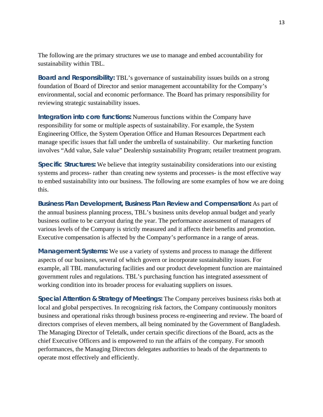The following are the primary structures we use to manage and embed accountability for sustainability within TBL.

**Board and Responsibility:** TBL's governance of sustainability issues builds on a strong foundation of Board of Director and senior management accountability for the Company's environmental, social and economic performance. The Board has primary responsibility for reviewing strategic sustainability issues.

**Integration into core functions:** Numerous functions within the Company have responsibility for some or multiple aspects of sustainability. For example, the System Engineering Office, the System Operation Office and Human Resources Department each manage specific issues that fall under the umbrella of sustainability. Our marketing function involves "Add value, Sale value" Dealership sustainability Program; retailer treatment program.

**Specific Structures:** We believe that integrity sustainability considerations into our existing systems and process- rather than creating new systems and processes- is the most effective way to embed sustainability into our business. The following are some examples of how we are doing this.

**Business Plan Development, Business Plan Review and Compensation:** As part of the annual business planning process, TBL's business units develop annual budget and yearly business outline to be carryout during the year. The performance assessment of managers of various levels of the Company is strictly measured and it affects their benefits and promotion. Executive compensation is affected by the Company's performance in a range of areas.

**Management Systems:** We use a variety of systems and process to manage the different aspects of our business, several of which govern or incorporate sustainability issues. For example, all TBL manufacturing facilities and our product development function are maintained government rules and regulations. TBL's purchasing function has integrated assessment of working condition into its broader process for evaluating suppliers on issues.

**Special Attention & Strategy of Meetings:** The Company perceives business risks both at local and global perspectives. In recognizing risk factors, the Company continuously monitors business and operational risks through business process re-engineering and review. The board of directors comprises of eleven members, all being nominated by the Government of Bangladesh. The Managing Director of Teletalk, under certain specific directions of the Board, acts as the chief Executive Officers and is empowered to run the affairs of the company. For smooth performances, the Managing Directors delegates authorities to heads of the departments to operate most effectively and efficiently.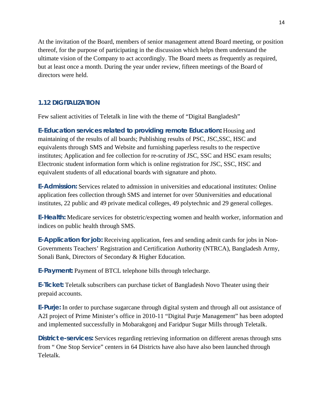At the invitation of the Board, members of senior management attend Board meeting, or position thereof, for the purpose of participating in the discussion which helps them understand the ultimate vision of the Company to act accordingly. The Board meets as frequently as required, but at least once a month. During the year under review, fifteen meetings of the Board of directors were held.

#### **1.12 DIGITALIZATION**

Few salient activities of Teletalk in line with the theme of "Digital Bangladesh"

**E-Education services related to providing remote Education:** Housing and maintaining of the results of all boards; Publishing results of PSC, JSC,SSC, HSC and equivalents through SMS and Website and furnishing paperless results to the respective institutes; Application and fee collection for re-scrutiny of JSC, SSC and HSC exam results; Electronic student information form which is online registration for JSC, SSC, HSC and equivalent students of all educational boards with signature and photo.

**E-Admission:** Services related to admission in universities and educational institutes: Online application fees collection through SMS and internet for over 50universities and educational institutes, 22 public and 49 private medical colleges, 49 polytechnic and 29 general colleges.

**E-Health:** Medicare services for obstetric/expecting women and health worker, information and indices on public health through SMS.

**E-Application for job:** Receiving application, fees and sending admit cards for jobs in Non-Governments Teachers' Registration and Certification Authority (NTRCA), Bangladesh Army, Sonali Bank, Directors of Secondary & Higher Education.

**E-Payment:** Payment of BTCL telephone bills through telecharge.

**E-Ticket:** Teletalk subscribers can purchase ticket of Bangladesh Novo Theater using their prepaid accounts.

**E-Purje:** In order to purchase sugarcane through digital system and through all out assistance of A2I project of Prime Minister's office in 2010-11 "Digital Purje Management" has been adopted and implemented successfully in Mobarakgonj and Faridpur Sugar Mills through Teletalk.

**District e-services:** Services regarding retrieving information on different arenas through sms from " One Stop Service" centers in 64 Districts have also have also been launched through Teletalk.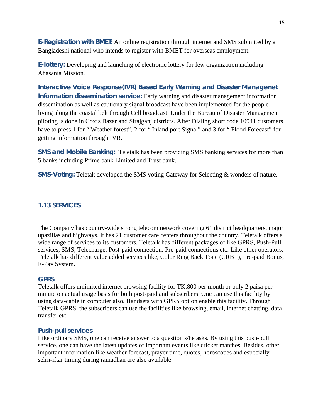**E-Registration with BMET:** An online registration through internet and SMS submitted by a Bangladeshi national who intends to register with BMET for overseas employment.

**E-lottery:** Developing and launching of electronic lottery for few organization including Ahasania Mission.

**Interactive Voice Response(IVR) Based Early Warning and Disaster Managenet Information dissemination service:** Early warning and disaster management information dissemination as well as cautionary signal broadcast have been implemented for the people living along the coastal belt through Cell broadcast. Under the Bureau of Disaster Management piloting is done in Cox's Bazar and Sirajganj districts. After Dialing short code 10941 customers have to press 1 for "Weather forest", 2 for "Inland port Signal" and 3 for "Flood Forecast" for getting information through IVR.

**SMS and Mobile Banking:** Teletalk has been providing SMS banking services for more than 5 banks including Prime bank Limited and Trust bank.

**SMS-Voting:** Teletak developed the SMS voting Gateway for Selecting & wonders of nature.

#### **1.13 SERVICES**

The Company has country-wide strong telecom network covering 61 district headquarters, major upazillas and highways. It has 21 customer care centers throughout the country. Teletalk offers a wide range of services to its customers. Teletalk has different packages of like GPRS, Push-Pull services, SMS, Telecharge, Post-paid connection, Pre-paid connections etc. Like other operators, Teletalk has different value added services like, Color Ring Back Tone (CRBT), Pre-paid Bonus, E-Pay System.

#### **GPRS**

Teletalk offers unlimited internet browsing facility for TK.800 per month or only 2 paisa per minute on actual usage basis for both post-paid and subscribers. One can use this facility by using data-cable in computer also. Handsets with GPRS option enable this facility. Through Teletalk GPRS, the subscribers can use the facilities like browsing, email, internet chatting, data transfer etc.

#### **Push-pull services**

Like ordinary SMS, one can receive answer to a question s/he asks. By using this push-pull service, one can have the latest updates of important events like cricket matches. Besides, other important information like weather forecast, prayer time, quotes, horoscopes and especially sehri-iftar timing during ramadhan are also available.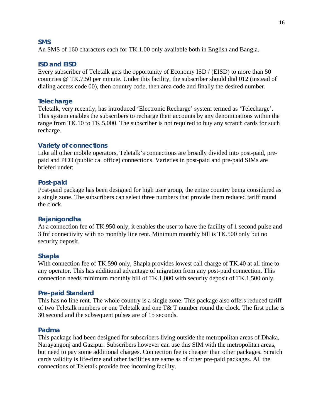#### **SMS**

An SMS of 160 characters each for TK.1.00 only available both in English and Bangla.

#### **ISD and EISD**

Every subscriber of Teletalk gets the opportunity of Economy ISD / (EISD) to more than 50 countries @ TK.7.50 per minute. Under this facility, the subscriber should dial 012 (instead of dialing access code 00), then country code, then area code and finally the desired number.

#### **Telecharge**

Teletalk, very recently, has introduced 'Electronic Recharge' system termed as 'Telecharge'. This system enables the subscribers to recharge their accounts by any denominations within the range from TK.10 to TK.5,000. The subscriber is not required to buy any scratch cards for such recharge.

#### **Variety of connections**

Like all other mobile operators, Teletalk's connections are broadly divided into post-paid, prepaid and PCO (public cal office) connections. Varieties in post-paid and pre-paid SIMs are briefed under:

#### **Post-paid**

Post-paid package has been designed for high user group, the entire country being considered as a single zone. The subscribers can select three numbers that provide them reduced tariff round the clock.

#### **Rajanigondha**

At a connection fee of TK.950 only, it enables the user to have the facility of 1 second pulse and 3 fnf connectivity with no monthly line rent. Minimum monthly bill is TK.500 only but no security deposit.

#### **Shapla**

With connection fee of TK.590 only, Shapla provides lowest call charge of TK.40 at all time to any operator. This has additional advantage of migration from any post-paid connection. This connection needs minimum monthly bill of TK.1,000 with security deposit of TK.1,500 only.

#### **Pre-paid Standard**

This has no line rent. The whole country is a single zone. This package also offers reduced tariff of two Teletalk numbers or one Teletalk and one T& T number round the clock. The first pulse is 30 second and the subsequent pulses are of 15 seconds.

#### **Padma**

This package had been designed for subscribers living outside the metropolitan areas of Dhaka, Narayangonj and Gazipur. Subscribers however can use this SIM with the metropolitan areas, but need to pay some additional charges. Connection fee is cheaper than other packages. Scratch cards validity is life-time and other facilities are same as of other pre-paid packages. All the connections of Teletalk provide free incoming facility.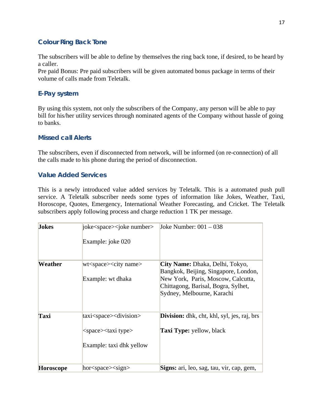#### **Colour Ring Back Tone**

The subscribers will be able to define by themselves the ring back tone, if desired, to be heard by a caller.

Pre paid Bonus: Pre paid subscribers will be given automated bonus package in terms of their volume of calls made from Teletalk.

#### **E-Pay system**

By using this system, not only the subscribers of the Company, any person will be able to pay bill for his/her utility services through nominated agents of the Company without hassle of going to banks.

#### **Missed call Alerts**

The subscribers, even if disconnected from network, will be informed (on re-connection) of all the calls made to his phone during the period of disconnection.

#### **Value Added Services**

This is a newly introduced value added services by Teletalk. This is a automated push pull service. A Teletalk subscriber needs some types of information like Jokes, Weather, Taxi, Horoscope, Quotes, Emergency, International Weather Forecasting, and Cricket. The Teletalk subscribers apply following process and charge reduction 1 TK per message.

| <b>Jokes</b> | joke <space><joke number=""><br/>Example: joke 020</joke></space>                                               | Joke Number: $001 - 038$                                                                                                                                                           |
|--------------|-----------------------------------------------------------------------------------------------------------------|------------------------------------------------------------------------------------------------------------------------------------------------------------------------------------|
| Weather      | wt <space><city name=""><br/>Example: wt dhaka</city></space>                                                   | City Name: Dhaka, Delhi, Tokyo,<br>Bangkok, Beijing, Singapore, London,<br>New York, Paris, Moscow, Calcutta,<br>Chittagong, Barisal, Bogra, Sylhet,<br>Sydney, Melbourne, Karachi |
| Taxi         | taxi <space><division><br/><space><taxi type=""><br/>Example: taxi dhk yellow</taxi></space></division></space> | <b>Division:</b> dhk, cht, khl, syl, jes, raj, brs<br><b>Taxi Type:</b> yellow, black                                                                                              |
| Horoscope    | hor <space><sign></sign></space>                                                                                | Signs: ari, leo, sag, tau, vir, cap, gem,                                                                                                                                          |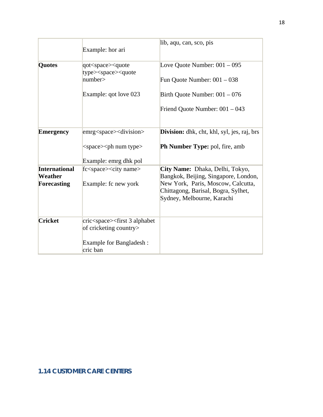|                                                              | Example: hor ari                                                                                                                                             | lib, aqu, can, sco, pis                                                                                                                                                            |
|--------------------------------------------------------------|--------------------------------------------------------------------------------------------------------------------------------------------------------------|------------------------------------------------------------------------------------------------------------------------------------------------------------------------------------|
| <b>Quotes</b>                                                | qot <space><quote<br>type&gt;<space><quote<br><math>\mu</math>umber<math>&gt;</math><br/>Example: qot love 023</quote<br></space></quote<br></space>         | Love Quote Number: $001 - 095$<br>Fun Quote Number: $001 - 038$<br>Birth Quote Number: $001 - 076$<br>Friend Quote Number: 001 – 043                                               |
| <b>Emergency</b>                                             | emrg <space><division><br/><math>&lt;</math>space<math>&gt;</math><math>&lt;</math>ph num type<math>&gt;</math><br/>Example: emrg dhk pol</division></space> | <b>Division:</b> dhk, cht, khl, syl, jes, raj, brs<br>Ph Number Type: pol, fire, amb                                                                                               |
| <b>International</b><br><b>Weather</b><br><b>Forecasting</b> | fc <space><city name=""><br/>Example: fc new york</city></space>                                                                                             | City Name: Dhaka, Delhi, Tokyo,<br>Bangkok, Beijing, Singapore, London,<br>New York, Paris, Moscow, Calcutta,<br>Chittagong, Barisal, Bogra, Sylhet,<br>Sydney, Melbourne, Karachi |
| <b>Cricket</b>                                               | cric <space><first 3="" alphabet<br="">of cricketing country&gt;<br/>Example for Bangladesh:<br/>cric ban</first></space>                                    |                                                                                                                                                                                    |

#### **1.14 CUSTOMER CARE CENTERS**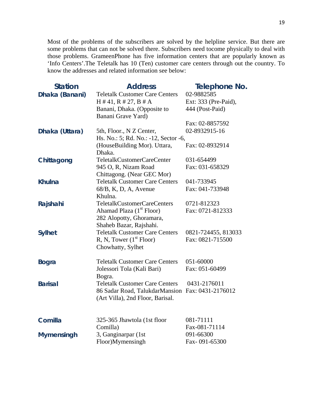Most of the problems of the subscribers are solved by the helpline service. But there are some problems that can not be solved there. Subscribers need tocome physically to deal with those problems. GrameenPhone has five information centers that are popularly known as 'Info Centers'.The Teletalk has 10 (Ten) customer care centers through out the country. To know the addresses and related information see below:

| <b>Station</b>    | <b>Address</b>                                   | Telephone No.        |
|-------------------|--------------------------------------------------|----------------------|
| Dhaka (Banani)    | <b>Teletalk Customer Care Centers</b>            | 02-9882585           |
|                   | $H \# 41, R \# 27, B \# A$                       | Ext: 333 (Pre-Paid), |
|                   | Banani, Dhaka. (Opposite to                      | 444 (Post-Paid)      |
|                   | Banani Grave Yard)                               |                      |
|                   |                                                  | Fax: 02-8857592      |
| Dhaka (Uttara)    | 5th, Floor., N Z Center,                         | 02-8932915-16        |
|                   | Hs. No.: 5; Rd. No.: -12, Sector -6,             |                      |
|                   | (HouseBuilding Mor). Uttara,                     | Fax: 02-8932914      |
|                   | Dhaka.                                           |                      |
| Chittagong        | TeletalkCustomerCareCenter                       | 031-654499           |
|                   | 945 O, R, Nizam Road                             | Fax: 031-658329      |
|                   | Chittagong. (Near GEC Mor)                       |                      |
| <b>Khulna</b>     | <b>Teletalk Customer Care Centers</b>            | 041-733945           |
|                   | $68/B$ , K, D, A, Avenue                         | Fax: 041-733948      |
|                   | Khulna.                                          |                      |
| Rajshahi          | TeletalkCustomerCareCenters                      | 0721-812323          |
|                   | Ahamad Plaza (1 <sup>st</sup> Floor)             | Fax: 0721-812333     |
|                   | 282 Alopotty, Ghoramara,                         |                      |
|                   | Shaheb Bazar, Rajshahi.                          |                      |
| <b>Sylhet</b>     | <b>Teletalk Customer Care Centers</b>            | 0821-724455, 813033  |
|                   | R, N, Tower (1 <sup>st</sup> Floor)              | Fax: 0821-715500     |
|                   | Chowhatty, Sylhet                                |                      |
| <b>Bogra</b>      | <b>Teletalk Customer Care Centers</b>            | 051-60000            |
|                   | Jolessori Tola (Kali Bari)                       | Fax: 051-60499       |
|                   | Bogra.                                           |                      |
| <b>Barisal</b>    | <b>Teletalk Customer Care Centers</b>            | 0431-2176011         |
|                   | 86 Sadar Road, TalukdarMansion Fax: 0431-2176012 |                      |
|                   | (Art Villa), 2nd Floor, Barisal.                 |                      |
|                   |                                                  |                      |
| Comilla           | 325-365 Jhawtola (1st floor                      | 081-71111            |
|                   | Comilla)                                         | Fax-081-71114        |
| <b>Mymensingh</b> | 3, Ganginarpar (1st                              | 091-66300            |
|                   | Floor)Mymensingh                                 | Fax-091-65300        |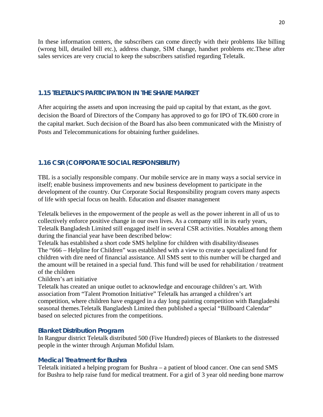In these information centers, the subscribers can come directly with their problems like billing (wrong bill, detailed bill etc.), address change, SIM change, handset problems etc.These after sales services are very crucial to keep the subscribers satisfied regarding Teletalk.

#### **1.15 TELETALK'S PARTICIPATION IN THE SHARE MARKET**

After acquiring the assets and upon increasing the paid up capital by that extant, as the govt. decision the Board of Directors of the Company has approved to go for IPO of TK.600 crore in the capital market. Such decision of the Board has also been communicated with the Ministry of Posts and Telecommunications for obtaining further guidelines.

#### **1.16 CSR (CORPORATE SOCIAL RESPONSIBILITY)**

TBL is a socially responsible company. Our mobile service are in many ways a social service in itself; enable business improvements and new business development to participate in the development of the country. Our Corporate Social Responsibility program covers many aspects of life with special focus on health. Education and disaster management

Teletalk believes in the empowerment of the people as well as the power inherent in all of us to collectively enforce positive change in our own lives. As a company still in its early years, Teletalk Bangladesh Limited still engaged itself in several CSR activities. Notables among them during the financial year have been described below:

Teletalk has established a short code SMS helpline for children with disability/diseases The "666 – Helpline for Children" was established with a view to create a specialized fund for children with dire need of financial assistance. All SMS sent to this number will be charged and the amount will be retained in a special fund. This fund will be used for rehabilitation / treatment of the children

Children's art initiative

Teletalk has created an unique outlet to acknowledge and encourage children's art. With association from "Talent Promotion Initiative" Teletalk has arranged a children's art competition, where children have engaged in a day long painting competition with Bangladeshi seasonal themes.Teletalk Bangladesh Limited then published a special "Billboard Calendar" based on selected pictures from the competitions.

#### **Blanket Distribution Program**

In Rangpur district Teletalk distributed 500 (Five Hundred) pieces of Blankets to the distressed people in the winter through Anjuman Mofidul Islam.

#### **Medical Treatment for Bushra**

Teletalk initiated a helping program for Bushra – a patient of blood cancer. One can send SMS for Bushra to help raise fund for medical treatment. For a girl of 3 year old needing bone marrow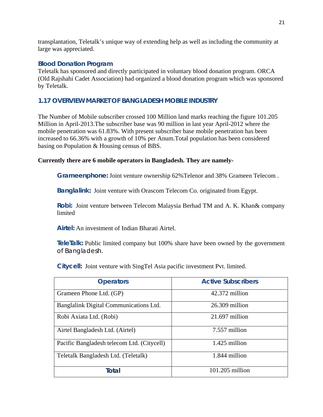transplantation, Teletalk's unique way of extending help as well as including the community at large was appreciated.

#### **Blood Donation Program**

Teletalk has sponsored and directly participated in voluntary blood donation program. ORCA (Old Rajshahi Cadet Association) had organized a blood donation program which was sponsored by Teletalk.

#### **1.17 OVERVIEW MARKET OF BANGLADESH MOBILE INDUSTRY**

The Number of Mobile subscriber crossed 100 Million land marks reaching the figure 101.205 Million in April-2013.The subscriber base was 90 million in last year April-2012 where the mobile penetration was 61.83%. With present subscriber base mobile penetration has been increased to 66.36% with a growth of 10% per Anum.Total population has been considered basing on Population & Housing census of BBS.

#### **Currently there are 6 mobile operators in Bangladesh. They are namely-**

**Grameenphone:** Joint venture ownership 62%Telenor and 38% Grameen Telecom .

**Banglalink:** Joint venture with Orascom Telecom Co. originated from Egypt.

**Robi:** Joint venture between Telecom Malaysia Berhad TM and A. K. Khan& company limited

**Airtel:** An investment of Indian Bharati Airtel.

**TeleTalk:** Public limited company but 100% share have been owned by the government of Bangladesh.

**Citycell:** Joint venture with SingTel Asia pacific investment Pvt. limited.

| <b>Operators</b>                           | <b>Active Subscribers</b> |
|--------------------------------------------|---------------------------|
| Grameen Phone Ltd. (GP)                    | 42.372 million            |
| Banglalink Digital Communications Ltd.     | $26.309$ million          |
| Robi Axiata Ltd. (Robi)                    | $21.697$ million          |
| Airtel Bangladesh Ltd. (Airtel)            | 7.557 million             |
| Pacific Bangladesh telecom Ltd. (Citycell) | 1.425 million             |
| Teletalk Bangladesh Ltd. (Teletalk)        | 1.844 million             |
| Total                                      | $101.205$ million         |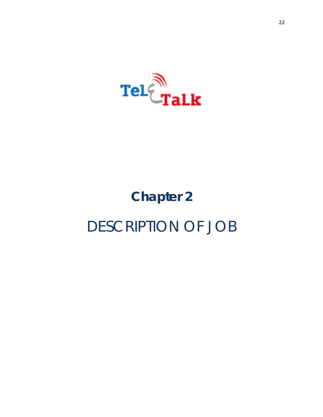

# **Chapter 2**  DESCRIPTION OF JOB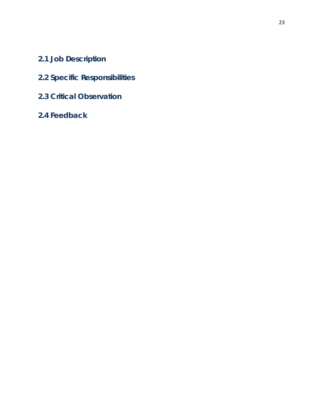- **2.1 Job Description**
- **2.2 Specific Responsibilities**
- **2.3 Critical Observation**
- **2.4 Feedback**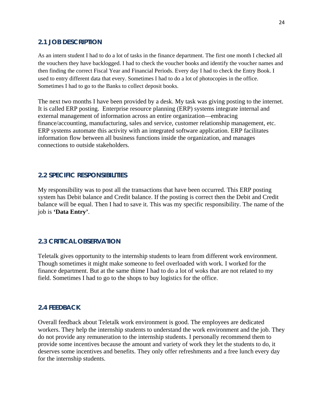#### **2.1 JOB DESCRIPTION**

As an intern student I had to do a lot of tasks in the finance department. The first one month I checked all the vouchers they have backlogged. I had to check the voucher books and identify the voucher names and then finding the correct Fiscal Year and Financial Periods. Every day I had to check the Entry Book. I used to entry different data that every. Sometimes I had to do a lot of photocopies in the office. Sometimes I had to go to the Banks to collect deposit books.

The next two months I have been provided by a desk. My task was giving posting to the internet. It is called ERP posting. Enterprise resource planning (ERP) systems integrate internal and external management of information across an entire organization—embracing finance/accounting, manufacturing, sales and service, customer relationship management, etc. ERP systems automate this activity with an integrated software application. ERP facilitates information flow between all business functions inside the organization, and manages connections to outside stakeholders.

#### **2.2 SPECIFIC RESPONSIBILITIES**

My responsibility was to post all the transactions that have been occurred. This ERP posting system has Debit balance and Credit balance. If the posting is correct then the Debit and Credit balance will be equal. Then I had to save it. This was my specific responsibility. The name of the job is **'Data Entry'**.

#### **2.3 CRITICAL OBSERVATION**

Teletalk gives opportunity to the internship students to learn from different work environment. Though sometimes it might make someone to feel overloaded with work. I worked for the finance department. But at the same thime I had to do a lot of woks that are not related to my field. Sometimes I had to go to the shops to buy logistics for the office.

#### **2.4 FEEDBACK**

Overall feedback about Teletalk work environment is good. The employees are dedicated workers. They help the internship students to understand the work environment and the job. They do not provide any remuneration to the internship students. I personally recommend them to provide some incentives because the amount and variety of work they let the students to do, it deserves some incentives and benefits. They only offer refreshments and a free lunch every day for the internship students.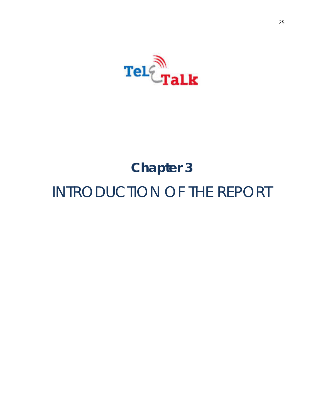

# **Chapter 3** INTRODUCTION OF THE REPORT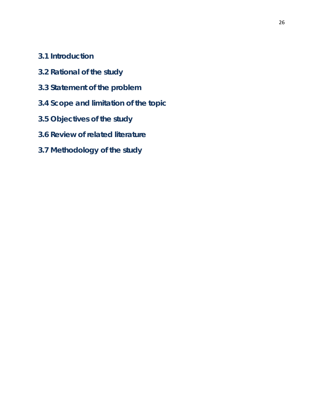- **3.1 Introduction**
- **3.2 Rational of the study**
- **3.3 Statement of the problem**
- **3.4 Scope and limitation of the topic**
- **3.5 Objectives of the study**
- **3.6 Review of related literature**
- **3.7 Methodology of the study**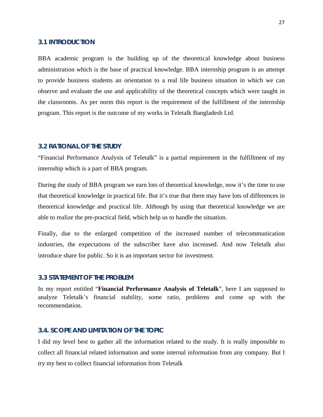#### **3.1 INTRODUCTION**

BBA academic program is the building up of the theoretical knowledge about business administration which is the base of practical knowledge. BBA internship program is an attempt to provide business students an orientation to a real life business situation in which we can observe and evaluate the use and applicability of the theoretical concepts which were taught in the classrooms. As per norm this report is the requirement of the fulfillment of the internship program. This report is the outcome of my works in Teletalk Bangladesh Ltd.

#### **3.2 RATIONAL OF THE STUDY**

"Financial Performance Analysis of Teletalk" is a partial requirement in the fulfillment of my internship which is a part of BBA program.

During the study of BBA program we earn lots of theoretical knowledge, now it's the time to use that theoretical knowledge in practical life. But it's true that there may have lots of differences in theoretical knowledge and practical life. Although by using that theoretical knowledge we are able to realize the pre-practical field, which help us to handle the situation.

Finally, due to the enlarged competition of the increased number of telecommunication industries, the expectations of the subscriber have also increased. And now Teletalk also introduce share for public. So it is an important sector for investment.

#### **3.3 STATEMENT OF THE PROBLEM**

In my report entitled "**Financial Performance Analysis of Teletalk**", here I am supposed to analyze Teletalk's financial stability, some ratio, problems and come up with the recommendation.

#### **3.4. SCOPE AND LIMITATION OF THE TOPIC**

I did my level best to gather all the information related to the study. It is really impossible to collect all financial related information and some internal information from any company. But I try my best to collect financial information from Teletalk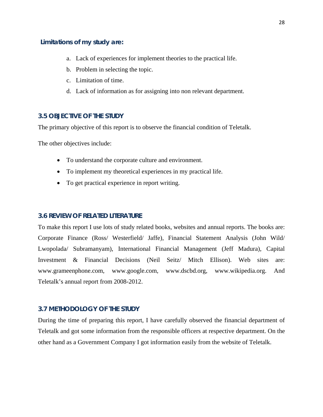#### **Limitations of my study are:**

- a. Lack of experiences for implement theories to the practical life.
- b. Problem in selecting the topic.
- c. Limitation of time.
- d. Lack of information as for assigning into non relevant department.

#### **3.5 OBJECTIVE OF THE STUDY**

The primary objective of this report is to observe the financial condition of Teletalk.

The other objectives include:

- To understand the corporate culture and environment.
- To implement my theoretical experiences in my practical life.
- To get practical experience in report writing.

#### **3.6 REVIEW OF RELATED LITERATURE**

To make this report I use lots of study related books, websites and annual reports. The books are: Corporate Finance (Ross/ Westerfield/ Jaffe), Financial Statement Analysis (John Wild/ Lwopolada/ Subramanyam), International Financial Management (Jeff Madura), Capital Investment & Financial Decisions (Neil Seitz/ Mitch Ellison). Web sites are: www.grameenphone.com, www.google.com, www.dscbd.org, www.wikipedia.org. And Teletalk's annual report from 2008-2012.

#### **3.7 METHODOLOGY OF THE STUDY**

During the time of preparing this report, I have carefully observed the financial department of Teletalk and got some information from the responsible officers at respective department. On the other hand as a Government Company I got information easily from the website of Teletalk.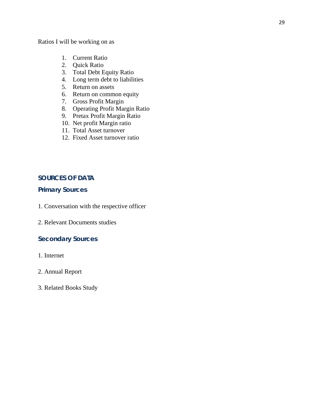Ratios I will be working on as

- 1. Current Ratio
- 2. Quick Ratio
- 3. Total Debt Equity Ratio
- 4. Long term debt to liabilities
- 5. Return on assets
- 6. Return on common equity
- 7. Gross Profit Margin
- 8. Operating Profit Margin Ratio
- 9. Pretax Profit Margin Ratio
- 10. Net profit Margin ratio
- 11. Total Asset turnover
- 12. Fixed Asset turnover ratio

#### **SOURCES OF DATA**

#### **Primary Sources**

- 1. Conversation with the respective officer
- 2. Relevant Documents studies

#### **Secondary Sources**

- 1. Internet
- 2. Annual Report
- 3. Related Books Study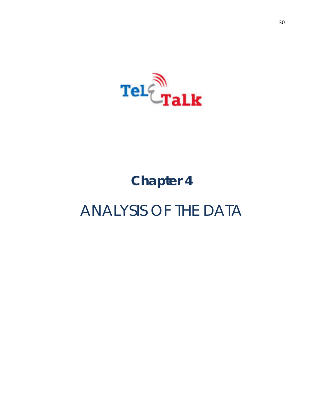

## **Chapter 4**

## ANALYSIS OF THE DATA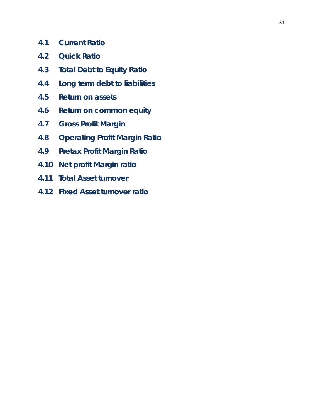- **4.1 Current Ratio**
- **4.2 Quick Ratio**
- **4.3 Total Debt to Equity Ratio**
- **4.4 Long term debt to liabilities**
- **4.5 Return on assets**
- **4.6 Return on common equity**
- **4.7 Gross Profit Margin**
- **4.8 Operating Profit Margin Ratio**
- **4.9 Pretax Profit Margin Ratio**
- **4.10 Net profit Margin ratio**
- **4.11 Total Asset turnover**
- **4.12 Fixed Asset turnover ratio**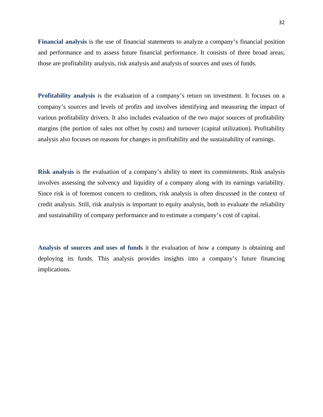**Financial analysis** is the use of financial statements to analyze a company's financial position and performance and to assess future financial performance. It consists of three broad areas; those are profitability analysis, risk analysis and analysis of sources and uses of funds.

**Profitability analysis** is the evaluation of a company's return on investment. It focuses on a company's sources and levels of profits and involves identifying and measuring the impact of various profitability drivers. It also includes evaluation of the two major sources of profitability margins (the portion of sales not offset by costs) and turnover (capital utilization). Profitability analysis also focuses on reasons for changes in profitability and the sustainability of earnings.

**Risk analysis** is the evaluation of a company's ability to meet its commitments. Risk analysis involves assessing the solvency and liquidity of a company along with its earnings variability. Since risk is of foremost concern to creditors, risk analysis is often discussed in the context of credit analysis. Still, risk analysis is important to equity analysis, both to evaluate the reliability and sustainability of company performance and to estimate a company's cost of capital.

**Analysis of sources and uses of funds** it the evaluation of how a company is obtaining and deploying its funds. This analysis provides insights into a company's future financing implications.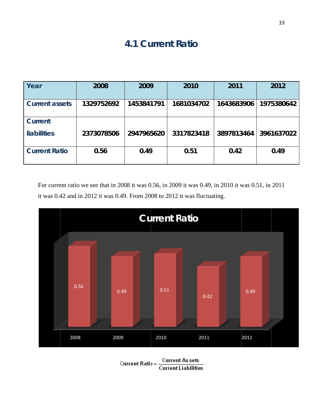## **4.1 Current R**

|                       |                          |            |            |            | 33         |  |  |
|-----------------------|--------------------------|------------|------------|------------|------------|--|--|
|                       | <b>4.1 Current Ratio</b> |            |            |            |            |  |  |
|                       |                          |            |            |            |            |  |  |
| Year                  | 2008                     | 2009       | 2010       | 2011       | 2012       |  |  |
| <b>Current assets</b> | 1329752692               | 1453841791 | 1681034702 | 1643683906 | 1975380642 |  |  |
| <b>Current</b>        |                          |            |            |            |            |  |  |
| <b>liabilities</b>    | 2373078506               | 2947965620 | 3317823418 | 3897813464 | 3961637022 |  |  |
| <b>Current Ratio</b>  | 0.56                     | 0.49       | 0.51       | 0.42       | 0.49       |  |  |

For current ratio we see that in 2008 it was 0.56, in 2009 it was 0.49, in 2010 it was 0.51, in 2011 it was 0.42 and in 2012 it was 0.49. From 2008 to 2012 it was fluctuating.



**Current Ratio = Current As sets**<br>Current Liabilities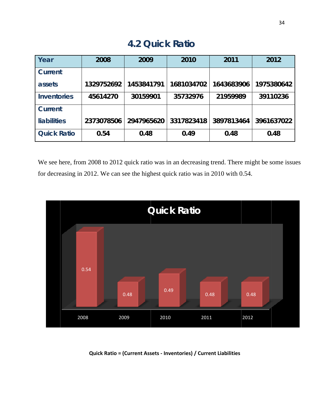| <b>4.2 Quick Ratio</b>                                                                                                                                                               |            |            |            |            |            |  |
|--------------------------------------------------------------------------------------------------------------------------------------------------------------------------------------|------------|------------|------------|------------|------------|--|
| Year                                                                                                                                                                                 | 2008       | 2009       | 2010       | 2011       | 2012       |  |
| <b>Current</b>                                                                                                                                                                       |            |            |            |            |            |  |
| assets                                                                                                                                                                               | 1329752692 | 1453841791 | 1681034702 | 1643683906 | 1975380642 |  |
| <b>Inventories</b>                                                                                                                                                                   | 45614270   | 30159901   | 35732976   | 21959989   | 39110236   |  |
| <b>Current</b>                                                                                                                                                                       |            |            |            |            |            |  |
| <b>liabilities</b>                                                                                                                                                                   | 2373078506 | 2947965620 | 3317823418 | 3897813464 | 3961637022 |  |
| <b>Quick Ratio</b>                                                                                                                                                                   | 0.54       | 0.48       | 0.49       | 0.48       | 0.48       |  |
| We see here, from 2008 to 2012 quick ratio was in an decreasing trend. There might be some issu<br>for decreasing in 2012. We can see the highest quick ratio was in 2010 with 0.54. |            |            |            |            |            |  |
| <b>Quick Ratio</b>                                                                                                                                                                   |            |            |            |            |            |  |
| 0.54                                                                                                                                                                                 |            |            |            |            |            |  |

**4.2 Q Quick Ra**



 **Q Quick Ratio = (Current Ass sets ‐ Invento ories) / Curre nt Liabilities**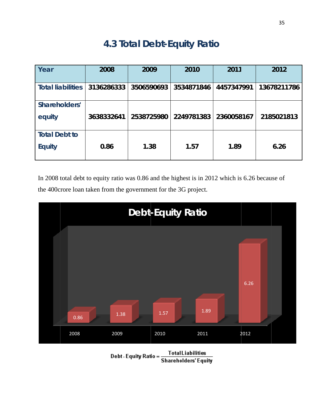## **4.3 Total Debt-Equity Ratio**

| Year                                  | 2008       | 2009       | 2010       | 2011       | 2012        |
|---------------------------------------|------------|------------|------------|------------|-------------|
| <b>Total liabilities</b>              | 3136286333 | 3506590693 | 3534871846 | 4457347991 | 13678211786 |
| Shareholders'<br>equity               | 3638332641 | 2538725980 | 2249781383 | 2360058167 | 2185021813  |
| <b>Total Debt to</b><br><b>Equity</b> | 0.86       | 1.38       | 1.57       | 1.89       | 6.26        |

In 2008 total debt to equity ratio was 0.86 and the highest is in 2012 which is 6.26 because of the 400 crore loan taken from the government for the 3G project.



Debt - Equity Ratio = Total Liabilities<br>Shareholders' Equity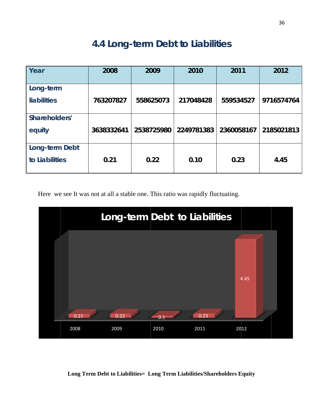## **4.4 Long-term Debt to Liabilities**

| Year                             | 2008       | 2009       | 2010       | 2011       | 2012       |
|----------------------------------|------------|------------|------------|------------|------------|
| Long-term<br><b>liabilities</b>  | 763207827  | 558625073  | 217048428  | 559534527  | 9716574764 |
| Shareholders'<br>equity          | 3638332641 | 2538725980 | 2249781383 | 2360058167 | 2185021813 |
| Long-term Debt<br>to Liabilities | 0.21       | 0.22       | 0.10       | 0.23       | 4.45       |

Here we see It was not at all a stable one. This ratio was rapidly fluctuating.



Long Term Debt to Liabilities= Long Term Liabilities/Shareholders Equity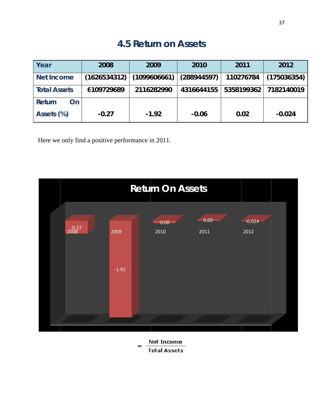### **4 4.5 Retu urn on A Assets**

| Year                                              | 2008         | 2009         | 2010        | 2011       | 2012        |  |  |
|---------------------------------------------------|--------------|--------------|-------------|------------|-------------|--|--|
| <b>Net Income</b>                                 | (1626534312) | (1099606661) | (288944597) | 110276784  | (175036354) |  |  |
| <b>Total Assets</b>                               | 6109729689   | 2116282990   | 4316644155  | 5358199362 | 7182140019  |  |  |
| Return<br><b>On</b>                               |              |              |             |            |             |  |  |
| Assets (%)                                        | $-0.27$      | $-1.92$      | $-0.06$     | 0.02       | $-0.024$    |  |  |
| Here we only find a positive performance in 2011. |              |              |             |            |             |  |  |
| <b>Return On Assets</b>                           |              |              |             |            |             |  |  |
| 0.02<br>$-0.024$<br>$-0.06$                       |              |              |             |            |             |  |  |



Net Income  $=$ **Total Assets**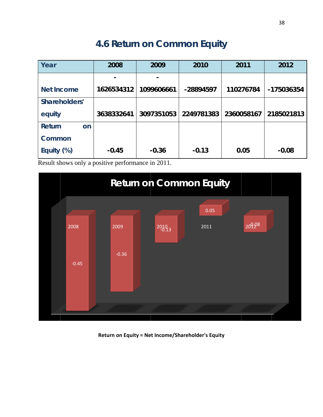## **4.6 Return on Common Equity**

| Year                | 2008       | 2009       | 2010       | 2011       | 2012       |
|---------------------|------------|------------|------------|------------|------------|
|                     |            |            |            |            |            |
| <b>Net Income</b>   | 1626534312 | 1099606661 | -28894597  | 110276784  | -175036354 |
| Shareholders'       |            |            |            |            |            |
| equity              | 3638332641 | 3097351053 | 2249781383 | 2360058167 | 2185021813 |
| <b>Return</b><br>on |            |            |            |            |            |
| Common              |            |            |            |            |            |
| Equity (%)          | $-0.45$    | $-0.36$    | $-0.13$    | 0.05       | $-0.08$    |

Result shows only a positive performance in 2011.



**Return on n Equity = Ne et Income/Sha areholder's E Equity**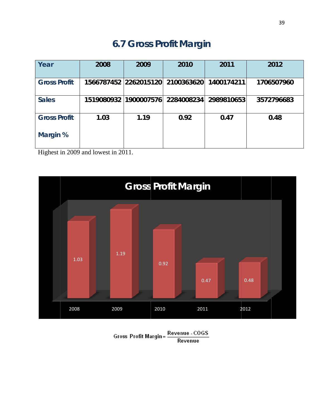## **6.7 Gross Profit Margin**

| Year                | 2008 | 2009                  | 2010                                        | 2011       | 2012       |
|---------------------|------|-----------------------|---------------------------------------------|------------|------------|
| <b>Gross Profit</b> |      |                       | 1566787452 2262015120 2100363620 1400174211 |            | 1706507960 |
| <b>Sales</b>        |      | 1519080932 1900007576 | 2284008234                                  | 2989810653 | 3572796683 |
| <b>Gross Profit</b> | 1.03 | 1.19                  | 0.92                                        | 0.47       | 0.48       |
| Margin %            |      |                       |                                             |            |            |

Highest in 2009 and lowest in 2011.



Gross Profit Margin= Revenue - COGS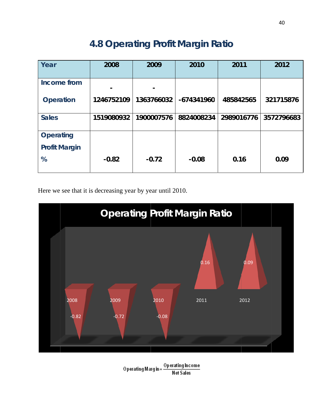## **4 4.8 Ope erating Profit M Margin Ratio**

| Year                 | 2008       | 2009       | 2010       | 2011       | 2012       |
|----------------------|------------|------------|------------|------------|------------|
|                      |            |            |            |            |            |
| Income from          |            |            |            |            |            |
| <b>Operation</b>     | 1246752109 | 1363766032 | -674341960 | 485842565  | 321715876  |
| <b>Sales</b>         | 1519080932 | 1900007576 | 8824008234 | 2989016776 | 3572796683 |
| <b>Operating</b>     |            |            |            |            |            |
| <b>Profit Margin</b> |            |            |            |            |            |
| %                    | $-0.82$    | $-0.72$    | $-0.08$    | 0.16       | 0.09       |

Here we see that it is decreasing year by year until 2010.



**Operating Margin=**  $\frac{ \text{Op}\text{ erating} \text{ Income}}{\text{Net}\text{ Sales}}$ **Net Sales**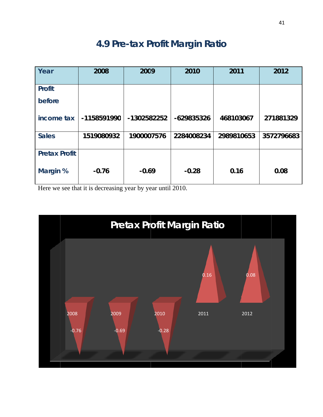## **4.9 Pre-tax Profit Margin Ratio**

|                                 |             |             |            |            | 41         |
|---------------------------------|-------------|-------------|------------|------------|------------|
| 4.9 Pre-tax Profit Margin Ratio |             |             |            |            |            |
| Year                            | 2008        | 2009        | 2010       | 2011       | 2012       |
| <b>Profit</b>                   |             |             |            |            |            |
| before                          |             |             |            |            |            |
| income tax                      | -1158591990 | -1302582252 | -629835326 | 468103067  | 271881329  |
| <b>Sales</b>                    | 1519080932  | 1900007576  | 2284008234 | 2989810653 | 3572796683 |
| <b>Pretax Profit</b>            |             |             |            |            |            |
| Margin %                        | $-0.76$     | $-0.69$     | $-0.28$    | 0.16       | 0.08       |

Here we see that it is decreasing year by year until 2010.

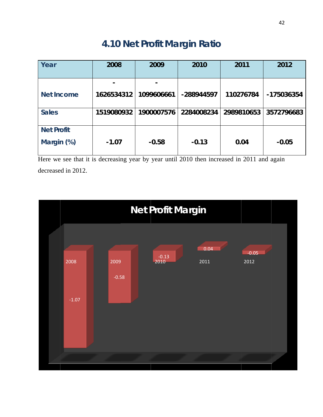## **4.10 Net Profit Margin Ratio**

| Year                                                                                                             | 2008       | 2009       | 2010       | 2011       | 2012       |
|------------------------------------------------------------------------------------------------------------------|------------|------------|------------|------------|------------|
|                                                                                                                  |            |            |            |            |            |
| <b>Net Income</b>                                                                                                | 1626534312 | 1099606661 | -288944597 | 110276784  | -175036354 |
| <b>Sales</b>                                                                                                     | 1519080932 | 1900007576 | 2284008234 | 2989810653 | 3572796683 |
| <b>Net Profit</b>                                                                                                |            |            |            |            |            |
| Margin (%)                                                                                                       | $-1.07$    | $-0.58$    | $-0.13$    | 0.04       | $-0.05$    |
| Here we see that it is decreasing year by year until 2010 then increased in 2011 and again<br>decreased in 2012. |            |            |            |            |            |
| <b>Net Profit Margin</b>                                                                                         |            |            |            |            |            |
| 0.04                                                                                                             |            |            |            |            |            |

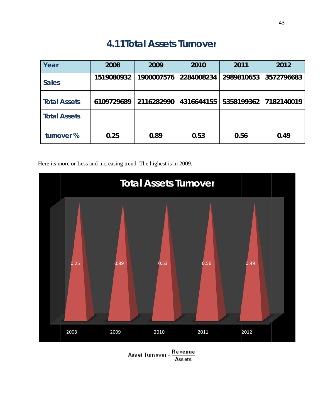### **4.11Total Assets Turnover**

| Year                | 2008       | 2009       | 2010       | 2011       | 2012       |
|---------------------|------------|------------|------------|------------|------------|
| <b>Sales</b>        | 1519080932 | 1900007576 | 2284008234 | 2989810653 | 3572796683 |
| <b>Total Assets</b> | 6109729689 | 2116282990 | 4316644155 | 5358199362 | 7182140019 |
| <b>Total Assets</b> |            |            |            |            |            |
| turnover %          | 0.25       | 0.89       | 0.53       | 0.56       | 0.49       |

Here its more or Less and increasing trend. The highest is in 2009.



Asset Turn over =  $\frac{\text{Re} \text{ venue}}{\text{Ass} \text{ ets}}$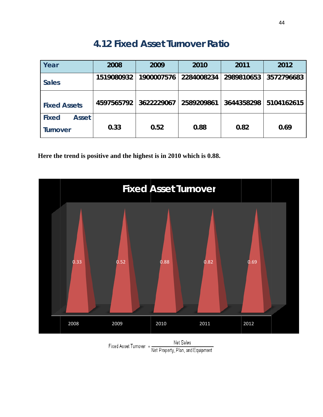## **4.12 Fi xed As sset Turn nover R Ratio**

| Year                                     | 2008       | 2009       | 2010       | 2011       | 2012       |
|------------------------------------------|------------|------------|------------|------------|------------|
| <b>Sales</b>                             | 1519080932 | 1900007576 | 2284008234 | 2989810653 | 3572796683 |
| <b>Fixed Assets</b>                      | 4597565792 | 3622229067 | 2589209861 | 3644358298 | 5104162615 |
| <b>Fixed</b><br><b>Asset</b><br>Turnover | 0.33       | 0.52       | 0.88       | 0.82       | 0.69       |

Here the trend is positive and the highest is in 2010 which is 0.88.



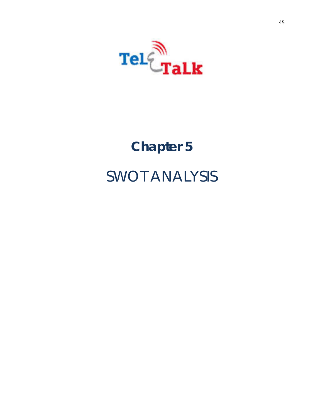

# **Chapter 5**  SWOT ANALYSIS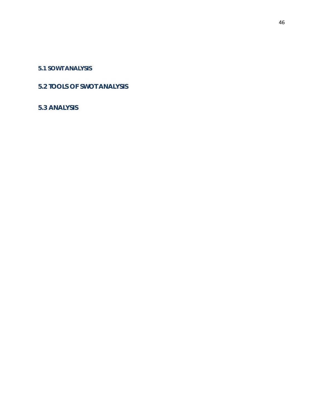#### **5.1 SOWT ANALYSIS**

#### **5.2 TOOLS OF SWOT ANALYSIS**

#### **5.3 ANALYSIS**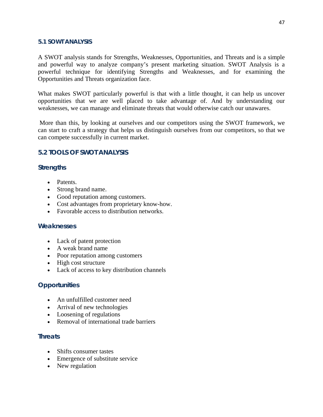#### **5.1 SOWT ANALYSIS**

A SWOT analysis stands for Strengths, Weaknesses, Opportunities, and Threats and is a simple and powerful way to analyze company's present marketing situation. SWOT Analysis is a powerful technique for identifying Strengths and Weaknesses, and for examining the Opportunities and Threats organization face.

What makes SWOT particularly powerful is that with a little thought, it can help us uncover opportunities that we are well placed to take advantage of. And by understanding our weaknesses, we can manage and eliminate threats that would otherwise catch our unawares.

 More than this, by looking at ourselves and our competitors using the SWOT framework, we can start to craft a strategy that helps us distinguish ourselves from our competitors, so that we can compete successfully in current market.

#### **5.2 TOOLS OF SWOT ANALYSIS**

#### **Strengths**

- Patents.
- Strong brand name.
- Good reputation among customers.
- Cost advantages from proprietary know-how.
- Favorable access to distribution networks.

#### **Weaknesses**

- Lack of patent protection
- A weak brand name
- Poor reputation among customers
- High cost structure
- Lack of access to key distribution channels

#### **Opportunities**

- An unfulfilled customer need
- Arrival of new technologies
- Loosening of regulations
- Removal of international trade barriers

#### **Threats**

- Shifts consumer tastes
- Emergence of substitute service
- New regulation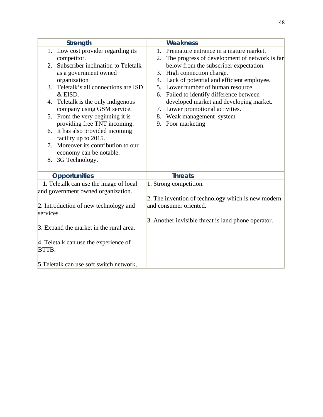|           | <b>Strength</b>                          |         | <b>Weakness</b>                                     |
|-----------|------------------------------------------|---------|-----------------------------------------------------|
|           | 1. Low cost provider regarding its       | $1_{-}$ | Premature entrance in a mature market.              |
|           | competitor.                              | 2.      | The progress of development of network is far       |
| 2.        | Subscriber inclination to Teletalk       |         | below from the subscriber expectation.              |
|           | as a government owned                    |         | 3. High connection charge.                          |
|           | organization                             |         | 4. Lack of potential and efficient employee.        |
| 3.        | Teletalk's all connections are ISD       |         | 5. Lower number of human resource.                  |
|           | & EISD.                                  |         | 6. Failed to identify difference between            |
|           | 4. Teletalk is the only indigenous       |         | developed market and developing market.             |
|           | company using GSM service.               |         | 7. Lower promotional activities.                    |
| 5.        | From the very beginning it is            |         | 8. Weak management system                           |
|           | providing free TNT incoming.             |         | 9. Poor marketing                                   |
|           | 6. It has also provided incoming         |         |                                                     |
|           | facility up to 2015.                     |         |                                                     |
|           | 7. Moreover its contribution to our      |         |                                                     |
|           | economy can be notable.                  |         |                                                     |
|           | 8. 3G Technology.                        |         |                                                     |
|           |                                          |         |                                                     |
|           | <b>Opportunities</b>                     |         | <b>Threats</b>                                      |
|           | 1. Teletalk can use the image of local   |         | 1. Strong competition.                              |
|           | and government owned organization.       |         |                                                     |
|           |                                          |         | 2. The invention of technology which is new modern  |
|           | 2. Introduction of new technology and    |         | and consumer oriented.                              |
| services. |                                          |         |                                                     |
|           |                                          |         | 3. Another invisible threat is land phone operator. |
|           | 3. Expand the market in the rural area.  |         |                                                     |
|           |                                          |         |                                                     |
|           | 4. Teletalk can use the experience of    |         |                                                     |
| BTTB.     |                                          |         |                                                     |
|           |                                          |         |                                                     |
|           | 5. Teletalk can use soft switch network, |         |                                                     |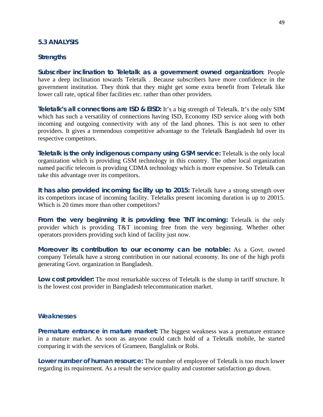#### **5.3 ANALYSIS**

#### **Strengths**

**Subscriber inclination to Teletalk as a government owned organization:** People have a deep inclination towards Teletalk . Because subscribers have more confidence in the government institution. They think that they might get some extra benefit from Teletalk like lower call rate, optical fiber facilities etc. rather than other providers.

**Teletalk's all connections are ISD & EISD:** It's a big strength of Teletalk. It's the only SIM which has such a versatility of connections having ISD, Economy ISD service along with both incoming and outgoing connectivity with any of the land phones. This is not seen to other providers. It gives a tremendous competitive advantage to the Teletalk Bangladesh ltd over its respective competitors.

**Teletalk is the only indigenous company using GSM service:** Teletalk is the only local organization which is providing GSM technology in this country. The other local organization named pacific telecom is providing CDMA technology which is more expensive. So Teletalk can take this advantage over its competitors.

**It has also provided incoming facility up to 2015:** Teletalk have a strong strength over its competitors incase of incoming facility. Teletalks present incoming duration is up to 20015. Which is 20 times more than other competitors?

**From the very beginning it is providing free TNT incoming:** Teletalk is the only provider which is providing T&T incoming free from the very beginning. Whether other operators providers providing such kind of facility just now.

**Moreover its contribution to our economy can be notable:** As a Govt. owned company Teletalk have a strong contribution in our national economy. Its one of the high profit generating Govt. organization in Bangladesh.

**Low cost provider:** The most remarkable success of Teletalk is the slump in tariff structure. It is the lowest cost provider in Bangladesh telecommunication market.

#### **Weaknesses**

**Premature entrance in mature market:** The biggest weakness was a premature entrance in a mature market. As soon as anyone could catch hold of a Teletalk mobile, he started comparing it with the services of Grameen, Banglalink or Robi.

**Lower number of human resource:** The number of employee of Teletalk is too much lower regarding its requirement. As a result the service quality and customer satisfaction go down.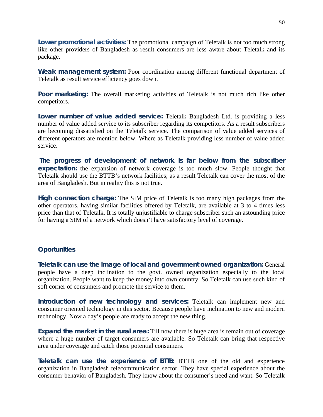**Lower promotional activities:** The promotional campaign of Teletalk is not too much strong like other providers of Bangladesh as result consumers are less aware about Teletalk and its package.

**Weak management system:** Poor coordination among different functional department of Teletalk as result service efficiency goes down.

**Poor marketing:** The overall marketing activities of Teletalk is not much rich like other competitors.

**Lower number of value added service:** Teletalk Bangladesh Ltd. is providing a less number of value added service to its subscriber regarding its competitors. As a result subscribers are becoming dissatisfied on the Teletalk service. The comparison of value added services of different operators are mention below. Where as Teletalk providing less number of value added service.

**The progress of development of network is far below from the subscriber expectation:** the expansion of network coverage is too much slow. People thought that Teletalk should use the BTTB's network facilities; as a result Teletalk can cover the most of the area of Bangladesh. But in reality this is not true.

**High connection charge:** The SIM price of Teletalk is too many high packages from the other operators, having similar facilities offered by Teletalk, are available at 3 to 4 times less price than that of Teletalk. It is totally unjustifiable to charge subscriber such an astounding price for having a SIM of a network which doesn't have satisfactory level of coverage.

#### **Oportunities**

**Teletalk can use the image of local and government owned organization:** General people have a deep inclination to the govt. owned organization especially to the local organization. People want to keep the money into own country. So Teletalk can use such kind of soft corner of consumers and promote the service to them.

**Introduction of new technology and services:** Teletalk can implement new and consumer oriented technology in this sector. Because people have inclination to new and modern technology. Now a day's people are ready to accept the new thing.

**Expand the market in the rural area:** Till now there is huge area is remain out of coverage where a huge number of target consumers are available. So Teletalk can bring that respective area under coverage and catch those potential consumers.

**Teletalk can use the experience of BTTB:** BTTB one of the old and experience organization in Bangladesh telecommunication sector. They have special experience about the consumer behavior of Bangladesh. They know about the consumer's need and want. So Teletalk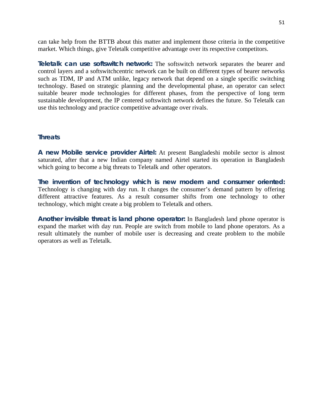can take help from the BTTB about this matter and implement those criteria in the competitive market. Which things, give Teletalk competitive advantage over its respective competitors.

**Teletalk can use softswitch network:** The softswitch network separates the bearer and control layers and a softswitchcentric network can be built on different types of bearer networks such as TDM, IP and ATM unlike, legacy network that depend on a single specific switching technology. Based on strategic planning and the developmental phase, an operator can select suitable bearer mode technologies for different phases, from the perspective of long term sustainable development, the IP centered softswitch network defines the future. So Teletalk can use this technology and practice competitive advantage over rivals.

#### **Threats**

**A new Mobile service provider Airtel:** At present Bangladeshi mobile sector is almost saturated, after that a new Indian company named Airtel started its operation in Bangladesh which going to become a big threats to Teletalk and other operators.

**The invention of technology which is new modern and consumer oriented:** Technology is changing with day run. It changes the consumer's demand pattern by offering different attractive features. As a result consumer shifts from one technology to other technology, which might create a big problem to Teletalk and others.

**Another invisible threat is land phone operator:** In Bangladesh land phone operator is expand the market with day run. People are switch from mobile to land phone operators. As a result ultimately the number of mobile user is decreasing and create problem to the mobile operators as well as Teletalk.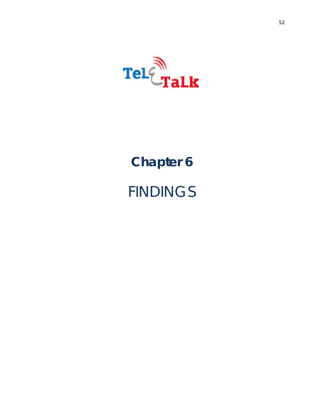

# **Chapter 6 FINDINGS**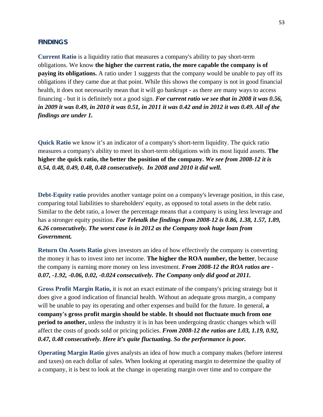#### **FINDINGS**

**Current Ratio** is a liquidity ratio that measures a company's ability to pay short-term obligations. We know **the higher the current ratio, the more capable the company is of paying its obligations.** A ratio under 1 suggests that the company would be unable to pay off its obligations if they came due at that point. While this shows the company is not in good financial health, it does not necessarily mean that it will go bankrupt - as there are many ways to access financing - but it is definitely not a good sign. *For current ratio we see that in 2008 it was 0.56, in 2009 it was 0.49, in 2010 it was 0.51, in 2011 it was 0.42 and in 2012 it was 0.49. All of the findings are under 1.* 

**Quick Ratio** we know it's an indicator of a company's short-term liquidity. The quick ratio measures a company's ability to meet its short-term obligations with its most liquid assets. **The higher the quick ratio, the better the position of the company.** *We see from 2008-12 it is 0.54, 0.48, 0.49, 0.48, 0.48 consecutively. In 2008 and 2010 it did well.* 

**Debt-Equity ratio** provides another vantage point on a company's leverage position, in this case, comparing total liabilities to shareholders' equity, as opposed to total assets in the debt ratio. Similar to the debt ratio, a lower the percentage means that a company is using less leverage and has a stronger equity position. *For Teletalk the findings from 2008-12 is 0.86, 1.38, 1.57, 1.89, 6.26 consecutively. The worst case is in 2012 as the Company took huge loan from Government.* 

**Return On Assets Ratio** gives investors an idea of how effectively the company is converting the money it has to invest into net income. **The higher the ROA number, the better**, because the company is earning more money on less investment. *From 2008-12 the ROA ratios are - 0.07, -1.92, -0.06, 0.02, -0.024 consecutively. The Company only did good at 2011.*

**Gross Profit Margin Ratio,** it is not an exact estimate of the company's pricing strategy but it does give a good indication of financial health. Without an adequate gross margin, a company will be unable to pay its operating and other expenses and build for the future. In general, **a company's gross profit margin should be stable. It should not fluctuate much from one period to another,** unless the industry it is in has been undergoing drastic changes which will affect the costs of goods sold or pricing policies. *From 2008-12 the ratios are 1.03, 1.19, 0.92, 0.47, 0.48 consecutively. Here it's quite fluctuating. So the performance is poor.* 

**Operating Margin Ratio** gives analysts an idea of how much a company makes (before interest and taxes) on each dollar of sales. When looking at operating margin to determine the quality of a company, it is best to look at the change in operating margin over time and to compare the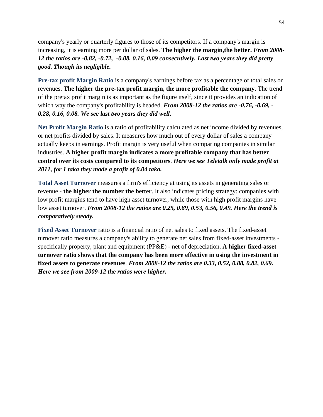company's yearly or quarterly figures to those of its competitors. If a company's margin is increasing, it is earning more per dollar of sales. **The higher the margin,the better.** *From 2008- 12 the ratios are -0.82, -0.72, -0.08, 0.16, 0.09 consecutively. Last two years they did pretty good. Though its negligible.* 

**Pre-tax profit Margin Ratio** is a company's earnings before tax as a percentage of total sales or revenues. **The higher the pre-tax profit margin, the more profitable the company**. The trend of the pretax profit margin is as important as the figure itself, since it provides an indication of which way the company's profitability is headed. *From 2008-12 the ratios are -0.76, -0.69, -0.28, 0.16, 0.08. We see last two years they did well.* 

**Net Profit Margin Ratio** is a ratio of profitability calculated as net income divided by revenues, or net profits divided by sales. It measures how much out of every dollar of sales a company actually keeps in earnings. Profit margin is very useful when comparing companies in similar industries. **A higher profit margin indicates a more profitable company that has better control over its costs compared to its competitors**. *Here we see Teletalk only made profit at 2011, for 1 taka they made a profit of 0.04 taka.* 

**Total Asset Turnover** measures a firm's efficiency at using its assets in generating sales or revenue - **the higher the number the better**. It also indicates pricing strategy: companies with low profit margins tend to have high asset turnover, while those with high profit margins have low asset turnover. *From 2008-12 the ratios are 0.25, 0.89, 0.53, 0.56, 0.49. Here the trend is comparatively steady.* 

**Fixed Asset Turnover** ratio is a financial ratio of net sales to fixed assets. The fixed-asset turnover ratio measures a company's ability to generate net sales from fixed-asset investments specifically property, plant and equipment (PP&E) - net of depreciation. **A higher fixed-asset turnover ratio shows that the company has been more effective in using the investment in fixed assets to generate revenues**. *From 2008-12 the ratios are 0.33, 0.52, 0.88, 0.82, 0.69. Here we see from 2009-12 the ratios were higher.*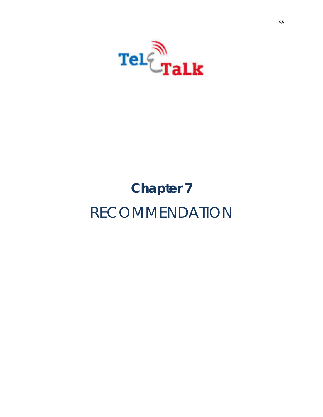

# **Chapter 7** RECOMMENDATION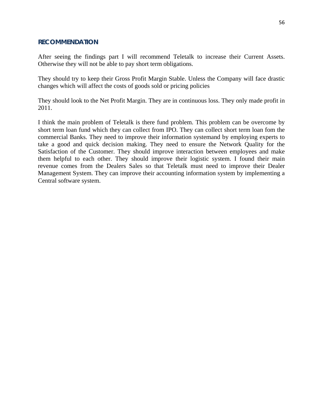#### **RECOMMENDATION**

After seeing the findings part I will recommend Teletalk to increase their Current Assets. Otherwise they will not be able to pay short term obligations.

They should try to keep their Gross Profit Margin Stable. Unless the Company will face drastic changes which will affect the costs of goods sold or pricing policies

They should look to the Net Profit Margin. They are in continuous loss. They only made profit in 2011.

I think the main problem of Teletalk is there fund problem. This problem can be overcome by short term loan fund which they can collect from IPO. They can collect short term loan fom the commercial Banks. They need to improve their information systemand by employing experts to take a good and quick decision making. They need to ensure the Network Quality for the Satisfaction of the Customer. They should improve interaction between employees and make them helpful to each other. They should improve their logistic system. I found their main revenue comes from the Dealers Sales so that Teletalk must need to improve their Dealer Management System. They can improve their accounting information system by implementing a Central software system.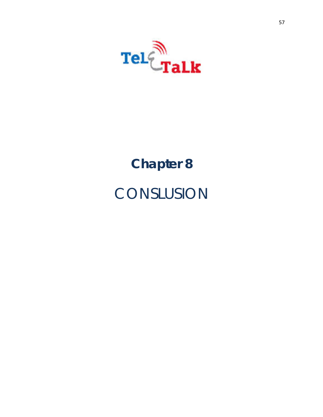

# **Chapter 8 CONSLUSION**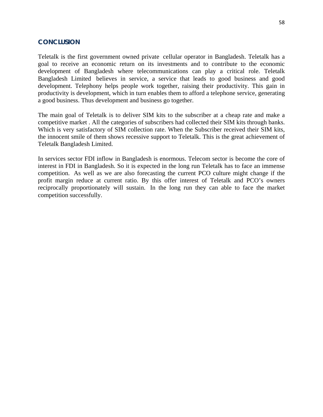#### **CONCLUSION**

Teletalk is the first government owned private cellular operator in Bangladesh. Teletalk has a goal to receive an economic return on its investments and to contribute to the economic development of Bangladesh where telecommunications can play a critical role. Teletalk Bangladesh Limited believes in service, a service that leads to good business and good development. Telephony helps people work together, raising their productivity. This gain in productivity is development, which in turn enables them to afford a telephone service, generating a good business. Thus development and business go together.

The main goal of Teletalk is to deliver SIM kits to the subscriber at a cheap rate and make a competitive market . All the categories of subscribers had collected their SIM kits through banks. Which is very satisfactory of SIM collection rate. When the Subscriber received their SIM kits, the innocent smile of them shows recessive support to Teletalk. This is the great achievement of Teletalk Bangladesh Limited.

In services sector FDI inflow in Bangladesh is enormous. Telecom sector is become the core of interest in FDI in Bangladesh. So it is expected in the long run Teletalk has to face an immense competition. As well as we are also forecasting the current PCO culture might change if the profit margin reduce at current ratio. By this offer interest of Teletalk and PCO's owners reciprocally proportionately will sustain. In the long run they can able to face the market competition successfully.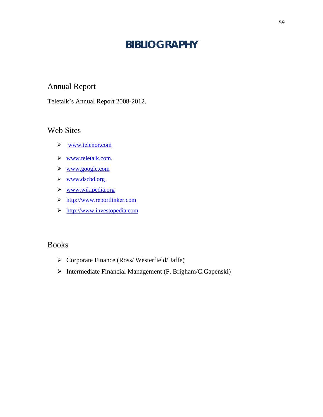## **BIBLIOGRAPHY**

### Annual Report

Teletalk's Annual Report 2008-2012.

#### Web Sites

- www.telenor.com
- www.teletalk.com.
- www.google.com
- www.dscbd.org
- www.wikipedia.org
- http://www.reportlinker.com
- http://www.investopedia.com

#### Books

- Corporate Finance (Ross/ Westerfield/ Jaffe)
- Intermediate Financial Management (F. Brigham/C.Gapenski)